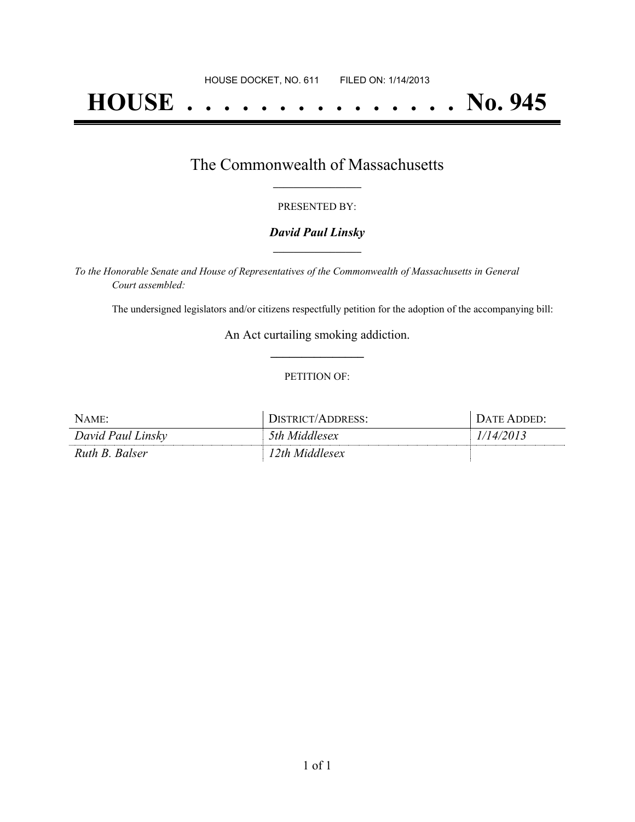# **HOUSE . . . . . . . . . . . . . . . No. 945**

## The Commonwealth of Massachusetts **\_\_\_\_\_\_\_\_\_\_\_\_\_\_\_\_\_**

#### PRESENTED BY:

#### *David Paul Linsky* **\_\_\_\_\_\_\_\_\_\_\_\_\_\_\_\_\_**

*To the Honorable Senate and House of Representatives of the Commonwealth of Massachusetts in General Court assembled:*

The undersigned legislators and/or citizens respectfully petition for the adoption of the accompanying bill:

An Act curtailing smoking addiction. **\_\_\_\_\_\_\_\_\_\_\_\_\_\_\_**

#### PETITION OF:

| NAME:             | DISTRICT/ADDRESS: | DATE ADDED: . |
|-------------------|-------------------|---------------|
| David Paul Linsky | 5th Middlesex     | 14/           |
| Ruth B. Balser    | 12th Middlesex    |               |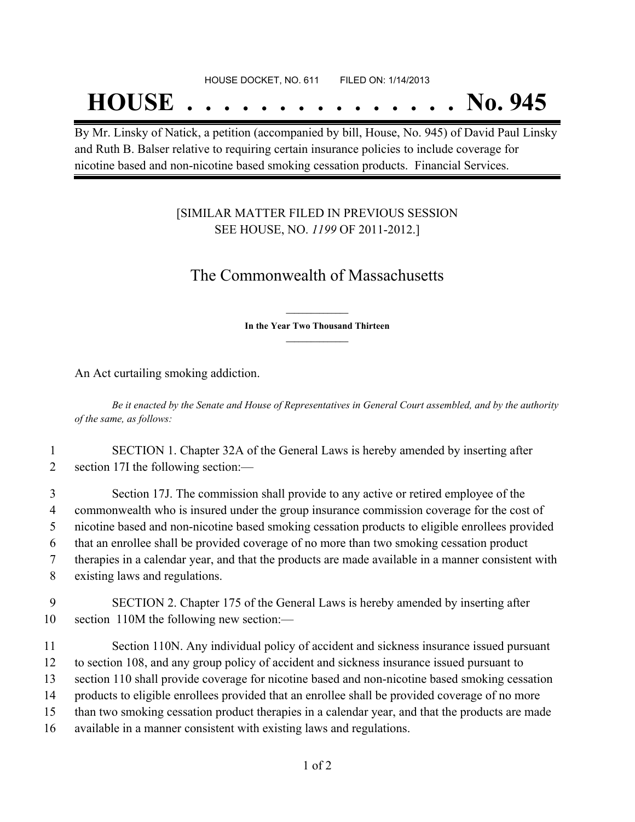## **HOUSE . . . . . . . . . . . . . . . No. 945**

By Mr. Linsky of Natick, a petition (accompanied by bill, House, No. 945) of David Paul Linsky and Ruth B. Balser relative to requiring certain insurance policies to include coverage for nicotine based and non-nicotine based smoking cessation products. Financial Services.

### [SIMILAR MATTER FILED IN PREVIOUS SESSION SEE HOUSE, NO. *1199* OF 2011-2012.]

## The Commonwealth of Massachusetts

**\_\_\_\_\_\_\_\_\_\_\_\_\_\_\_ In the Year Two Thousand Thirteen \_\_\_\_\_\_\_\_\_\_\_\_\_\_\_**

An Act curtailing smoking addiction.

Be it enacted by the Senate and House of Representatives in General Court assembled, and by the authority *of the same, as follows:*

1 SECTION 1. Chapter 32A of the General Laws is hereby amended by inserting after 2 section 17I the following section:—

 Section 17J. The commission shall provide to any active or retired employee of the commonwealth who is insured under the group insurance commission coverage for the cost of nicotine based and non-nicotine based smoking cessation products to eligible enrollees provided that an enrollee shall be provided coverage of no more than two smoking cessation product therapies in a calendar year, and that the products are made available in a manner consistent with existing laws and regulations.

9 SECTION 2. Chapter 175 of the General Laws is hereby amended by inserting after 10 section 110M the following new section:—

 Section 110N. Any individual policy of accident and sickness insurance issued pursuant to section 108, and any group policy of accident and sickness insurance issued pursuant to section 110 shall provide coverage for nicotine based and non-nicotine based smoking cessation products to eligible enrollees provided that an enrollee shall be provided coverage of no more than two smoking cessation product therapies in a calendar year, and that the products are made available in a manner consistent with existing laws and regulations.